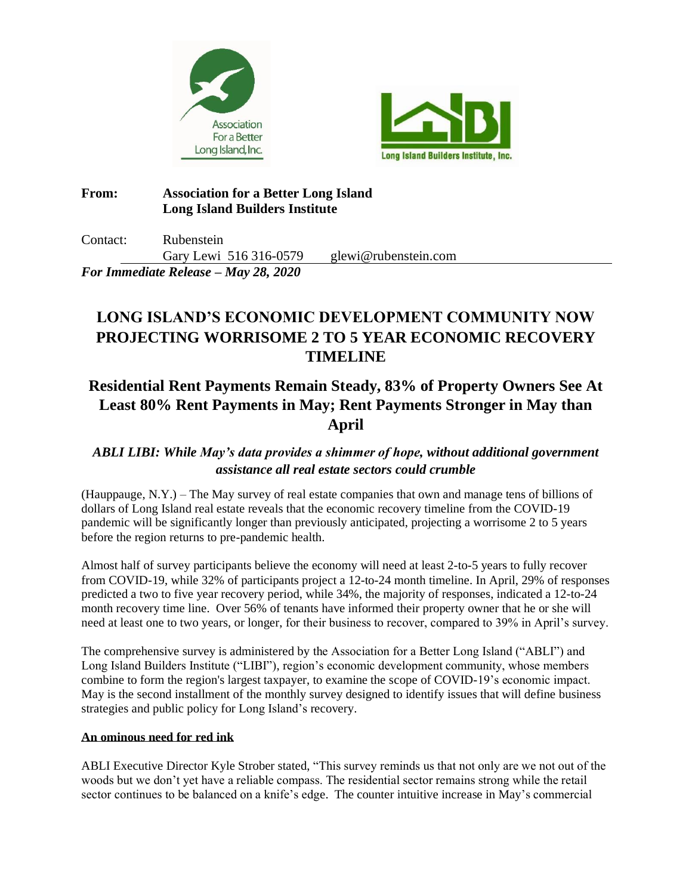



### **From: Association for a Better Long Island Long Island Builders Institute**

Contact: Rubenstein Gary Lewi 516 316-0579 glewi@rubenstein.com

## *For Immediate Release – May 28, 2020*

# **LONG ISLAND'S ECONOMIC DEVELOPMENT COMMUNITY NOW PROJECTING WORRISOME 2 TO 5 YEAR ECONOMIC RECOVERY TIMELINE**

## **Residential Rent Payments Remain Steady, 83% of Property Owners See At Least 80% Rent Payments in May; Rent Payments Stronger in May than April**

## *ABLI LIBI: While May's data provides a shimmer of hope, without additional government assistance all real estate sectors could crumble*

(Hauppauge, N.Y.) – The May survey of real estate companies that own and manage tens of billions of dollars of Long Island real estate reveals that the economic recovery timeline from the COVID-19 pandemic will be significantly longer than previously anticipated, projecting a worrisome 2 to 5 years before the region returns to pre-pandemic health.

Almost half of survey participants believe the economy will need at least 2-to-5 years to fully recover from COVID-19, while 32% of participants project a 12-to-24 month timeline. In April, 29% of responses predicted a two to five year recovery period, while 34%, the majority of responses, indicated a 12-to-24 month recovery time line. Over 56% of tenants have informed their property owner that he or she will need at least one to two years, or longer, for their business to recover, compared to 39% in April's survey.

The comprehensive survey is administered by the Association for a Better Long Island ("ABLI") and Long Island Builders Institute ("LIBI"), region's economic development community, whose members combine to form the region's largest taxpayer, to examine the scope of COVID-19's economic impact. May is the second installment of the monthly survey designed to identify issues that will define business strategies and public policy for Long Island's recovery.

### **An ominous need for red ink**

ABLI Executive Director Kyle Strober stated, "This survey reminds us that not only are we not out of the woods but we don't yet have a reliable compass. The residential sector remains strong while the retail sector continues to be balanced on a knife's edge. The counter intuitive increase in May's commercial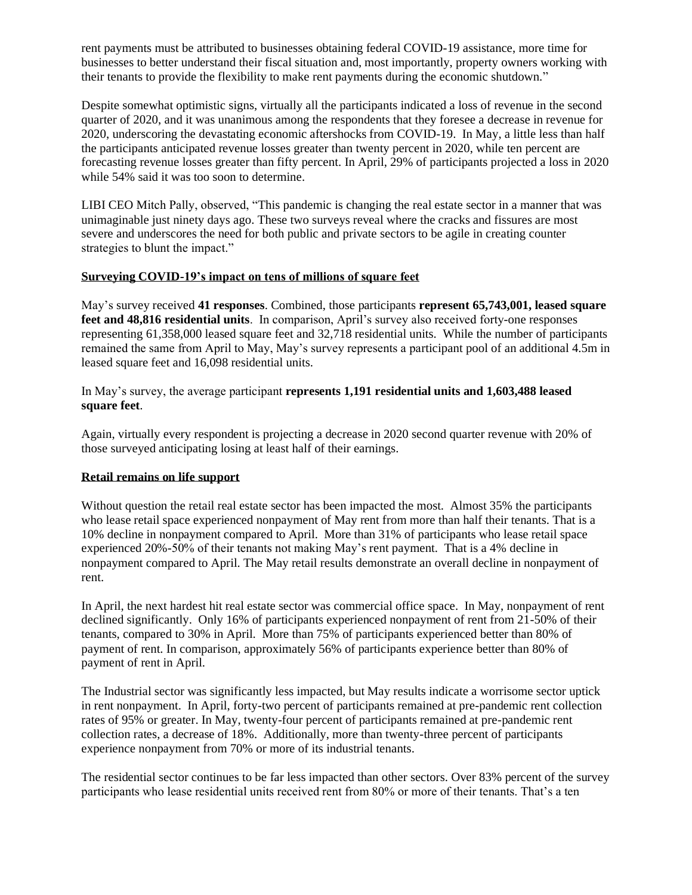rent payments must be attributed to businesses obtaining federal COVID-19 assistance, more time for businesses to better understand their fiscal situation and, most importantly, property owners working with their tenants to provide the flexibility to make rent payments during the economic shutdown."

Despite somewhat optimistic signs, virtually all the participants indicated a loss of revenue in the second quarter of 2020, and it was unanimous among the respondents that they foresee a decrease in revenue for 2020, underscoring the devastating economic aftershocks from COVID-19. In May, a little less than half the participants anticipated revenue losses greater than twenty percent in 2020, while ten percent are forecasting revenue losses greater than fifty percent. In April, 29% of participants projected a loss in 2020 while 54% said it was too soon to determine.

LIBI CEO Mitch Pally, observed, "This pandemic is changing the real estate sector in a manner that was unimaginable just ninety days ago. These two surveys reveal where the cracks and fissures are most severe and underscores the need for both public and private sectors to be agile in creating counter strategies to blunt the impact."

### **Surveying COVID-19's impact on tens of millions of square feet**

May's survey received **41 responses**. Combined, those participants **represent 65,743,001, leased square feet and 48,816 residential units**. In comparison, April's survey also received forty-one responses representing 61,358,000 leased square feet and 32,718 residential units. While the number of participants remained the same from April to May, May's survey represents a participant pool of an additional 4.5m in leased square feet and 16,098 residential units.

In May's survey, the average participant **represents 1,191 residential units and 1,603,488 leased square feet**.

Again, virtually every respondent is projecting a decrease in 2020 second quarter revenue with 20% of those surveyed anticipating losing at least half of their earnings.

#### **Retail remains on life support**

Without question the retail real estate sector has been impacted the most. Almost 35% the participants who lease retail space experienced nonpayment of May rent from more than half their tenants. That is a 10% decline in nonpayment compared to April. More than 31% of participants who lease retail space experienced 20%-50% of their tenants not making May's rent payment. That is a 4% decline in nonpayment compared to April. The May retail results demonstrate an overall decline in nonpayment of rent.

In April, the next hardest hit real estate sector was commercial office space. In May, nonpayment of rent declined significantly. Only 16% of participants experienced nonpayment of rent from 21-50% of their tenants, compared to 30% in April. More than 75% of participants experienced better than 80% of payment of rent. In comparison, approximately 56% of participants experience better than 80% of payment of rent in April.

The Industrial sector was significantly less impacted, but May results indicate a worrisome sector uptick in rent nonpayment. In April, forty-two percent of participants remained at pre-pandemic rent collection rates of 95% or greater. In May, twenty-four percent of participants remained at pre-pandemic rent collection rates, a decrease of 18%. Additionally, more than twenty-three percent of participants experience nonpayment from 70% or more of its industrial tenants.

The residential sector continues to be far less impacted than other sectors. Over 83% percent of the survey participants who lease residential units received rent from 80% or more of their tenants. That's a ten